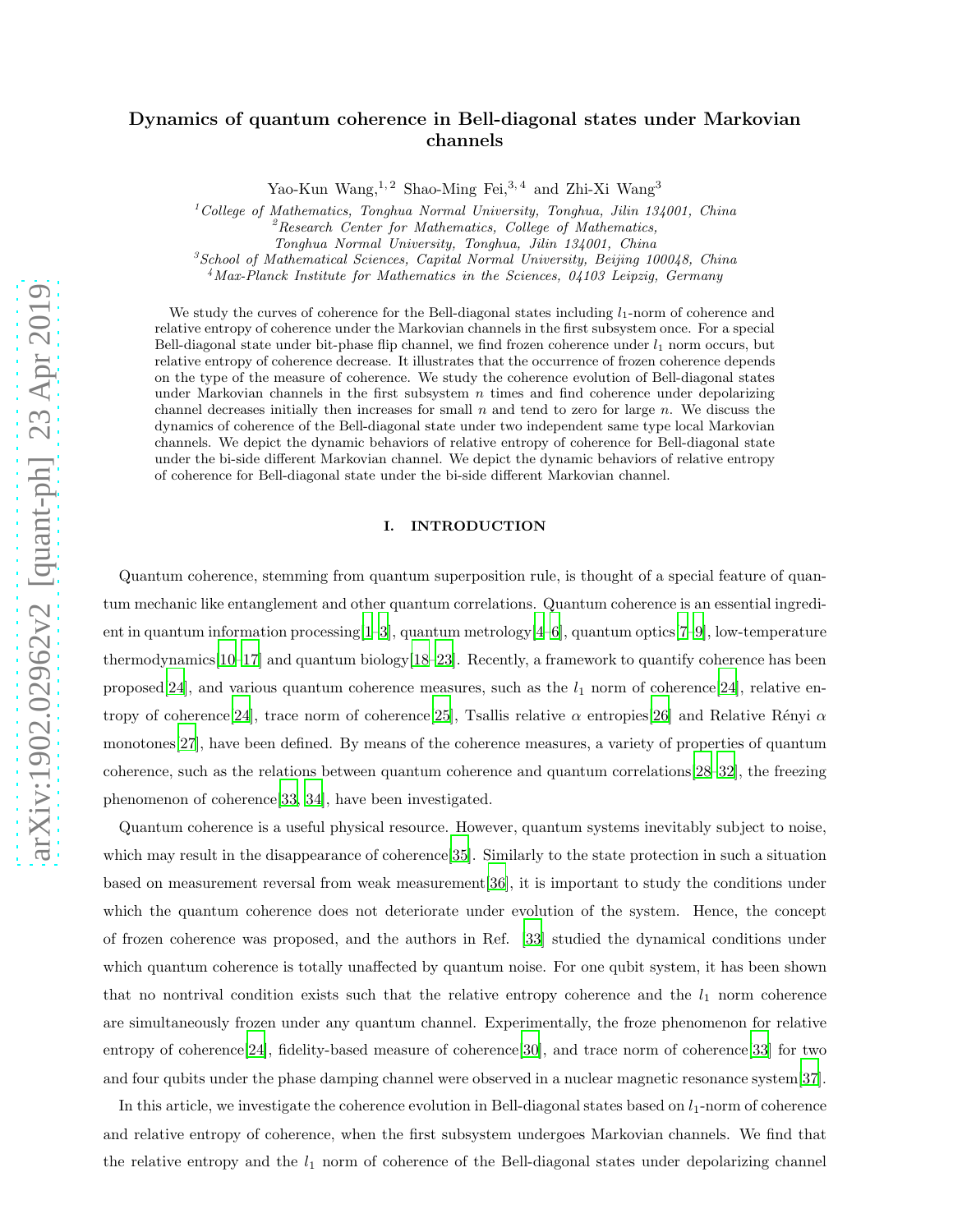# arXiv:1902.02962v2 [quant-ph] 23 Apr 2019 [arXiv:1902.02962v2 \[quant-ph\] 23 Apr 2019](http://arxiv.org/abs/1902.02962v2)

# Dynamics of quantum coherence in Bell-diagonal states under Markovian channels

Yao-Kun Wang,  $^{1,2}$  Shao-Ming Fei,  $^{3,4}$  and Zhi-Xi Wang<sup>3</sup>

 $1^1$ College of Mathematics, Tonghua Normal University, Tonghua, Jilin 134001, China  ${}^{2}$ Research Center for Mathematics, College of Mathematics, Tonghua Normal University, Tonghua, Jilin 134001, China  ${}^{3}S$ chool of Mathematical Sciences, Capital Normal University, Beijing 100048, China

<sup>4</sup>Max-Planck Institute for Mathematics in the Sciences, 04103 Leipzig, Germany

We study the curves of coherence for the Bell-diagonal states including  $l_1$ -norm of coherence and relative entropy of coherence under the Markovian channels in the first subsystem once. For a special Bell-diagonal state under bit-phase flip channel, we find frozen coherence under  $l_1$  norm occurs, but relative entropy of coherence decrease. It illustrates that the occurrence of frozen coherence depends on the type of the measure of coherence. We study the coherence evolution of Bell-diagonal states under Markovian channels in the first subsystem  $n$  times and find coherence under depolarizing channel decreases initially then increases for small  $n$  and tend to zero for large  $n$ . We discuss the dynamics of coherence of the Bell-diagonal state under two independent same type local Markovian channels. We depict the dynamic behaviors of relative entropy of coherence for Bell-diagonal state under the bi-side different Markovian channel. We depict the dynamic behaviors of relative entropy of coherence for Bell-diagonal state under the bi-side different Markovian channel.

### I. INTRODUCTION

Quantum coherence, stemming from quantum superposition rule, is thought of a special feature of quantum mechanic like entanglement and other quantum correlations. Quantum coherence is an essential ingredient in quantum information processing[\[1](#page-11-0)[–3](#page-11-1)], quantum metrology[\[4](#page-11-2)[–6\]](#page-11-3), quantum optics[\[7](#page-11-4)[–9\]](#page-11-5), low-temperature thermodynamics[\[10](#page-11-6)[–17](#page-11-7)] and quantum biology[\[18](#page-11-8)[–23\]](#page-11-9). Recently, a framework to quantify coherence has been proposed[\[24](#page-11-10)], and various quantum coherence measures, such as the  $l_1$  norm of coherence[\[24\]](#page-11-10), relative en-tropy of coherence[\[24\]](#page-11-10), trace norm of coherence[\[25](#page-11-11)], Tsallis relative  $\alpha$  entropies[\[26\]](#page-11-12) and Relative Rényi  $\alpha$ monotones[\[27\]](#page-11-13), have been defined. By means of the coherence measures, a variety of properties of quantum coherence, such as the relations between quantum coherence and quantum correlations[\[28](#page-11-14)[–32\]](#page-11-15), the freezing phenomenon of coherence[\[33,](#page-11-16) [34\]](#page-11-17), have been investigated.

Quantum coherence is a useful physical resource. However, quantum systems inevitably subject to noise, which may result in the disappearance of coherence[35]. Similarly to the state protection in such a situation based on measurement reversal from weak measurement[\[36\]](#page-12-0), it is important to study the conditions under which the quantum coherence does not deteriorate under evolution of the system. Hence, the concept of frozen coherence was proposed, and the authors in Ref. [\[33\]](#page-11-16) studied the dynamical conditions under which quantum coherence is totally unaffected by quantum noise. For one qubit system, it has been shown that no nontrival condition exists such that the relative entropy coherence and the  $l_1$  norm coherence are simultaneously frozen under any quantum channel. Experimentally, the froze phenomenon for relative entropy of coherence[\[24\]](#page-11-10), fidelity-based measure of coherence[\[30](#page-11-18)], and trace norm of coherence[\[33\]](#page-11-16) for two and four qubits under the phase damping channel were observed in a nuclear magnetic resonance system[\[37\]](#page-12-1).

In this article, we investigate the coherence evolution in Bell-diagonal states based on  $l_1$ -norm of coherence and relative entropy of coherence, when the first subsystem undergoes Markovian channels. We find that the relative entropy and the  $l_1$  norm of coherence of the Bell-diagonal states under depolarizing channel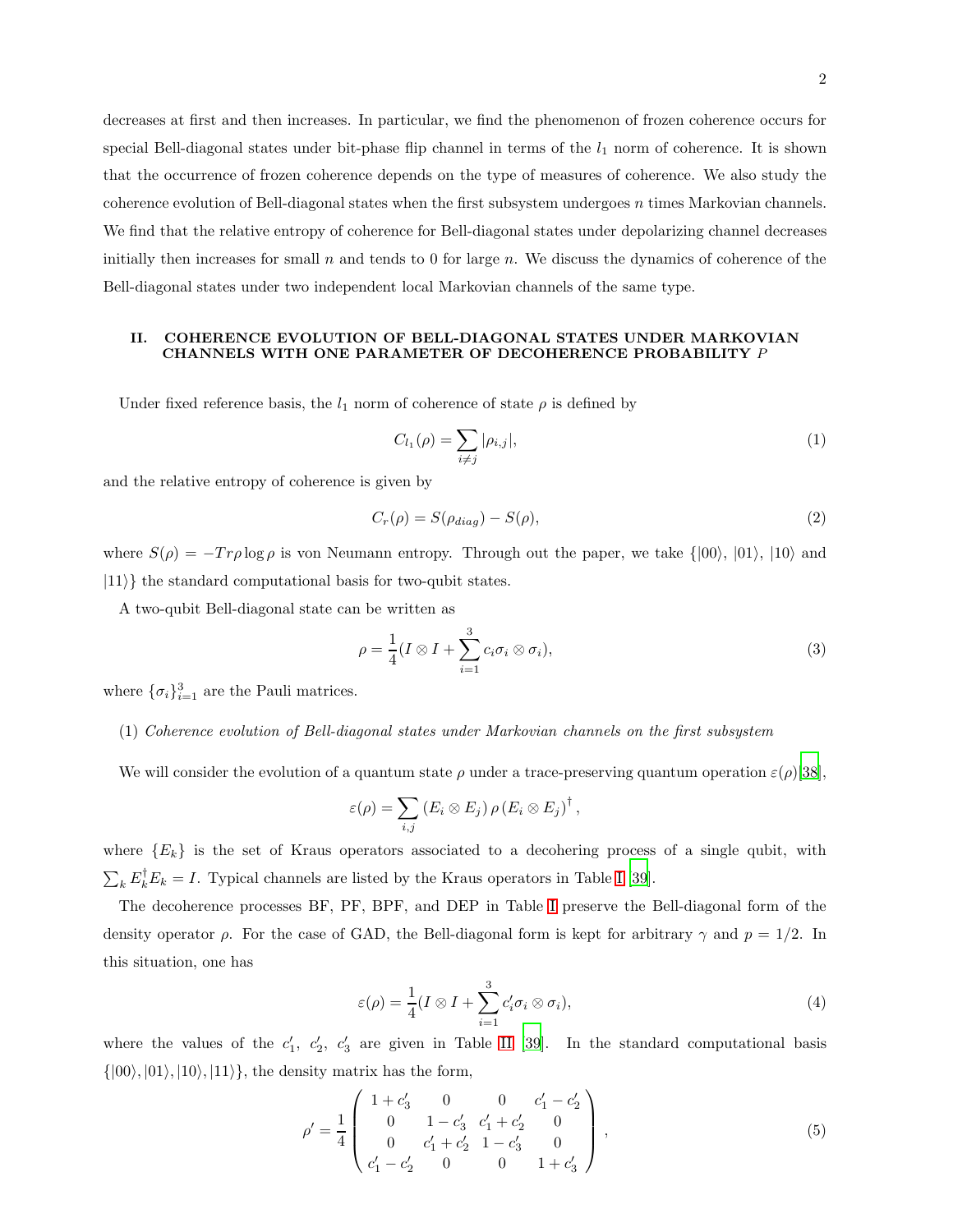decreases at first and then increases. In particular, we find the phenomenon of frozen coherence occurs for special Bell-diagonal states under bit-phase flip channel in terms of the  $l_1$  norm of coherence. It is shown that the occurrence of frozen coherence depends on the type of measures of coherence. We also study the coherence evolution of Bell-diagonal states when the first subsystem undergoes  $n$  times Markovian channels. We find that the relative entropy of coherence for Bell-diagonal states under depolarizing channel decreases initially then increases for small  $n$  and tends to 0 for large  $n$ . We discuss the dynamics of coherence of the Bell-diagonal states under two independent local Markovian channels of the same type.

## II. COHERENCE EVOLUTION OF BELL-DIAGONAL STATES UNDER MARKOVIAN CHANNELS WITH ONE PARAMETER OF DECOHERENCE PROBABILITY P

Under fixed reference basis, the  $l_1$  norm of coherence of state  $\rho$  is defined by

<span id="page-1-0"></span>
$$
C_{l_1}(\rho) = \sum_{i \neq j} |\rho_{i,j}|,\tag{1}
$$

and the relative entropy of coherence is given by

<span id="page-1-1"></span>
$$
C_r(\rho) = S(\rho_{diag}) - S(\rho), \qquad (2)
$$

where  $S(\rho) = -Tr\rho \log \rho$  is von Neumann entropy. Through out the paper, we take  $\{ |00\rangle, |01\rangle, |10\rangle \text{ and }$  $|11\rangle$  the standard computational basis for two-qubit states.

A two-qubit Bell-diagonal state can be written as

<span id="page-1-2"></span>
$$
\rho = \frac{1}{4}(I \otimes I + \sum_{i=1}^{3} c_i \sigma_i \otimes \sigma_i),
$$
\n(3)

where  $\{\sigma_i\}_{i=1}^3$  are the Pauli matrices.

# (1) Coherence evolution of Bell-diagonal states under Markovian channels on the first subsystem

We will consider the evolution of a quantum state  $\rho$  under a trace-preserving quantum operation  $\varepsilon(\rho)[38]$  $\varepsilon(\rho)[38]$ ,

$$
\varepsilon(\rho) = \sum_{i,j} (E_i \otimes E_j) \, \rho \, (E_i \otimes E_j)^\dagger \,,
$$

where  ${E_k}$  is the set of Kraus operators associated to a decohering process of a single qubit, with  $\sum_{k} E_{k}^{\dagger} E_{k} = I$  $\sum_{k} E_{k}^{\dagger} E_{k} = I$ . Typical channels are listed by the Kraus operators in Table I [\[39](#page-12-3)].

The decoherence processes BF, PF, BPF, and DEP in Table [I](#page-2-0) preserve the Bell-diagonal form of the density operator  $\rho$ . For the case of GAD, the Bell-diagonal form is kept for arbitrary  $\gamma$  and  $p = 1/2$ . In this situation, one has

$$
\varepsilon(\rho) = \frac{1}{4}(I \otimes I + \sum_{i=1}^{3} c_i' \sigma_i \otimes \sigma_i), \tag{4}
$$

where the values of the  $c'_1$ ,  $c'_2$ ,  $c'_3$  are given in Table [II](#page-3-0) [\[39\]](#page-12-3). In the standard computational basis  $\{|00\rangle, |01\rangle, |10\rangle, |11\rangle\},\$  the density matrix has the form,

<span id="page-1-3"></span>
$$
\rho' = \frac{1}{4} \begin{pmatrix} 1+c'_3 & 0 & 0 & c'_1 - c'_2 \\ 0 & 1-c'_3 & c'_1 + c'_2 & 0 \\ 0 & c'_1 + c'_2 & 1 - c'_3 & 0 \\ c'_1 - c'_2 & 0 & 0 & 1 + c'_3 \end{pmatrix},
$$
\n(5)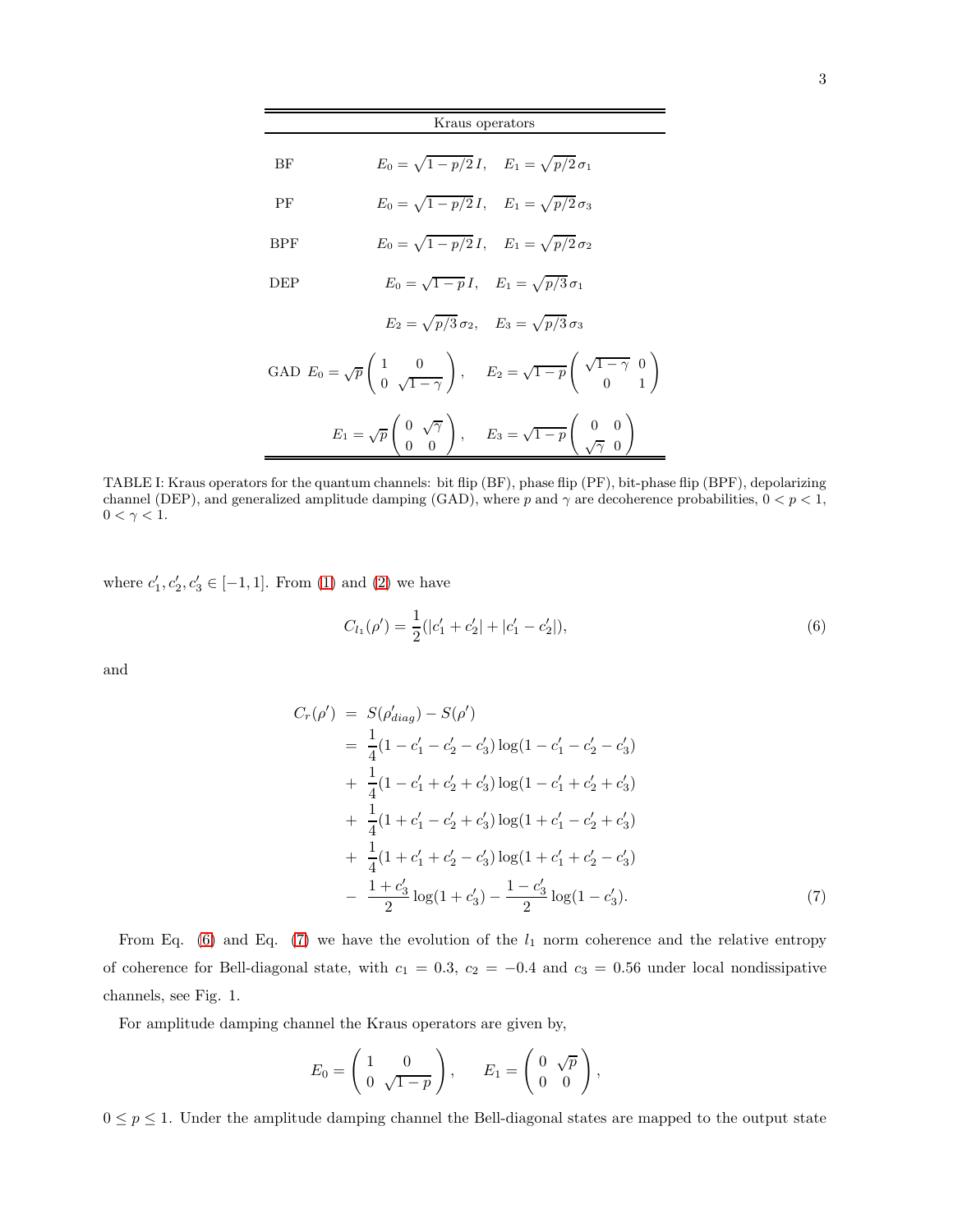|            | Kraus operators                                                                                                                                                 |
|------------|-----------------------------------------------------------------------------------------------------------------------------------------------------------------|
| ВF         | $E_0 = \sqrt{1 - p/2} I$ , $E_1 = \sqrt{p/2} \sigma_1$                                                                                                          |
| PF         | $E_0 = \sqrt{1 - p/2} I$ , $E_1 = \sqrt{p/2} \sigma_3$                                                                                                          |
| <b>BPF</b> | $E_0 = \sqrt{1 - p/2} I$ , $E_1 = \sqrt{p/2} \sigma_2$                                                                                                          |
| DEP        | $E_0 = \sqrt{1-p} I$ , $E_1 = \sqrt{p/3} \sigma_1$                                                                                                              |
|            | $E_2 = \sqrt{p/3} \sigma_2$ , $E_3 = \sqrt{p/3} \sigma_3$                                                                                                       |
|            | GAD $E_0 = \sqrt{p} \begin{pmatrix} 1 & 0 \\ 0 & \sqrt{1-\gamma} \end{pmatrix}$ , $E_2 = \sqrt{1-p} \begin{pmatrix} \sqrt{1-\gamma} & 0 \\ 0 & 1 \end{pmatrix}$ |
|            | $E_1 = \sqrt{p} \begin{pmatrix} 0 & \sqrt{\gamma} \\ 0 & 0 \end{pmatrix}, \quad E_3 = \sqrt{1-p} \begin{pmatrix} 0 & 0 \\ \sqrt{\gamma} & 0 \end{pmatrix}$      |

<span id="page-2-0"></span>TABLE I: Kraus operators for the quantum channels: bit flip (BF), phase flip (PF), bit-phase flip (BPF), depolarizing channel (DEP), and generalized amplitude damping (GAD), where p and  $\gamma$  are decoherence probabilities,  $0 < p < 1$ ,  $0 < \gamma < 1$ .

where  $c'_1, c'_2, c'_3 \in [-1, 1]$ . From [\(1\)](#page-1-0) and [\(2\)](#page-1-1) we have

<span id="page-2-1"></span>
$$
C_{l_1}(\rho') = \frac{1}{2}(|c'_1 + c'_2| + |c'_1 - c'_2|),\tag{6}
$$

and

<span id="page-2-2"></span>
$$
C_r(\rho') = S(\rho'_{diag}) - S(\rho')
$$
  
=  $\frac{1}{4}(1 - c'_1 - c'_2 - c'_3) \log(1 - c'_1 - c'_2 - c'_3)$   
+  $\frac{1}{4}(1 - c'_1 + c'_2 + c'_3) \log(1 - c'_1 + c'_2 + c'_3)$   
+  $\frac{1}{4}(1 + c'_1 - c'_2 + c'_3) \log(1 + c'_1 - c'_2 + c'_3)$   
+  $\frac{1}{4}(1 + c'_1 + c'_2 - c'_3) \log(1 + c'_1 + c'_2 - c'_3)$   
-  $\frac{1 + c'_3}{2} \log(1 + c'_3) - \frac{1 - c'_3}{2} \log(1 - c'_3).$  (7)

From Eq. [\(6\)](#page-2-1) and Eq. [\(7\)](#page-2-2) we have the evolution of the  $l_1$  norm coherence and the relative entropy of coherence for Bell-diagonal state, with  $c_1 = 0.3$ ,  $c_2 = -0.4$  and  $c_3 = 0.56$  under local nondissipative channels, see Fig. 1.

For amplitude damping channel the Kraus operators are given by,

$$
E_0 = \begin{pmatrix} 1 & 0 \\ 0 & \sqrt{1-p} \end{pmatrix}, \qquad E_1 = \begin{pmatrix} 0 & \sqrt{p} \\ 0 & 0 \end{pmatrix},
$$

 $0 \leq p \leq 1$ . Under the amplitude damping channel the Bell-diagonal states are mapped to the output state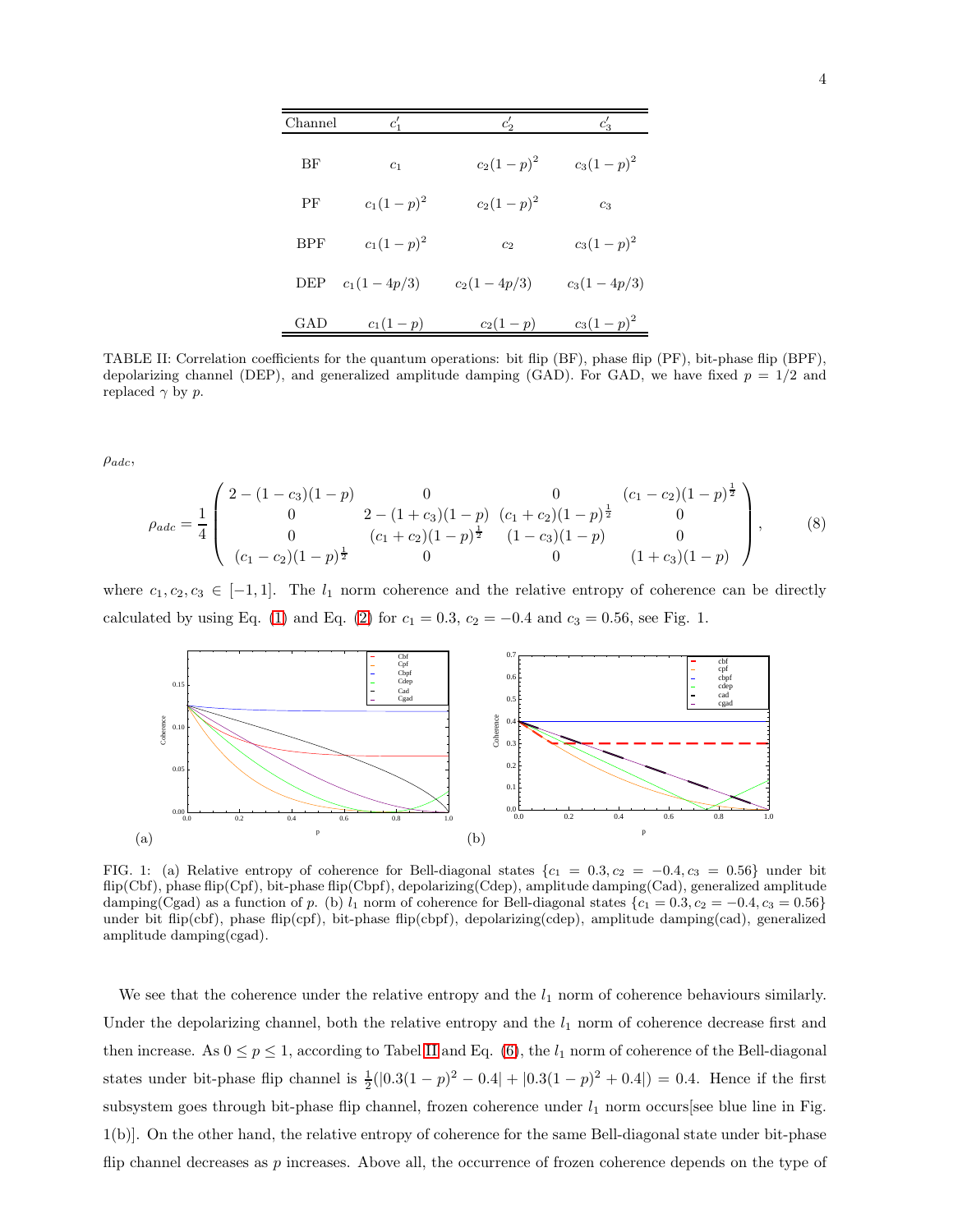| Channel    | $c_1'$         | $\mathfrak{c}'$ | $c_3'$        |
|------------|----------------|-----------------|---------------|
| BF         | c <sub>1</sub> | $c_2(1-p)^2$    | $c_3(1-p)^2$  |
| PF         | $c_1(1-p)^2$   | $c_2(1-p)^2$    | $c_3$         |
| <b>BPF</b> | $c_1(1-p)^2$   | c <sub>2</sub>  | $c_3(1-p)^2$  |
| DEP        | $c_1(1-4p/3)$  | $c_2(1-4p/3)$   | $c_3(1-4p/3)$ |
| GAD        | $c_1(1-p)$     | $c_2(1-p)$      | $c_3(1-p)^2$  |

<span id="page-3-0"></span>TABLE II: Correlation coefficients for the quantum operations: bit flip (BF), phase flip (PF), bit-phase flip (BPF), depolarizing channel (DEP), and generalized amplitude damping (GAD). For GAD, we have fixed  $p = 1/2$  and replaced  $\gamma$  by p.

 $\rho_{adc}$ 

$$
\rho_{adc} = \frac{1}{4} \begin{pmatrix} 2 - (1 - c_3)(1 - p) & 0 & 0 & (c_1 - c_2)(1 - p)^{\frac{1}{2}} \\ 0 & 2 - (1 + c_3)(1 - p) & (c_1 + c_2)(1 - p)^{\frac{1}{2}} & 0 \\ 0 & (c_1 + c_2)(1 - p)^{\frac{1}{2}} & (1 - c_3)(1 - p) & 0 \\ (c_1 - c_2)(1 - p)^{\frac{1}{2}} & 0 & 0 & (1 + c_3)(1 - p) \end{pmatrix},
$$
(8)

where  $c_1, c_2, c_3 \in [-1, 1]$ . The  $l_1$  norm coherence and the relative entropy of coherence can be directly calculated by using Eq. [\(1\)](#page-1-0) and Eq. [\(2\)](#page-1-1) for  $c_1 = 0.3$ ,  $c_2 = -0.4$  and  $c_3 = 0.56$ , see Fig. 1.



FIG. 1: (a) Relative entropy of coherence for Bell-diagonal states  $\{c_1 = 0.3, c_2 = -0.4, c_3 = 0.56\}$  under bit flip(Cbf), phase flip(Cpf), bit-phase flip(Cbpf), depolarizing(Cdep), amplitude damping(Cad), generalized amplitude damping(Cgad) as a function of p. (b)  $l_1$  norm of coherence for Bell-diagonal states  $\{c_1 = 0.3, c_2 = -0.4, c_3 = 0.56\}$ under bit flip(cbf), phase flip(cpf), bit-phase flip(cbpf), depolarizing(cdep), amplitude damping(cad), generalized amplitude damping(cgad).

We see that the coherence under the relative entropy and the  $l_1$  norm of coherence behaviours similarly. Under the depolarizing channel, both the relative entropy and the  $l_1$  norm of coherence decrease first and then increase. As  $0 \le p \le 1$ , according to Tabel [II](#page-3-0) and Eq. [\(6\)](#page-2-1), the  $l_1$  norm of coherence of the Bell-diagonal states under bit-phase flip channel is  $\frac{1}{2}(|0.3(1-p)^2 - 0.4| + |0.3(1-p)^2 + 0.4|) = 0.4$ . Hence if the first subsystem goes through bit-phase flip channel, frozen coherence under  $l_1$  norm occurs [see blue line in Fig. 1(b)]. On the other hand, the relative entropy of coherence for the same Bell-diagonal state under bit-phase flip channel decreases as  $p$  increases. Above all, the occurrence of frozen coherence depends on the type of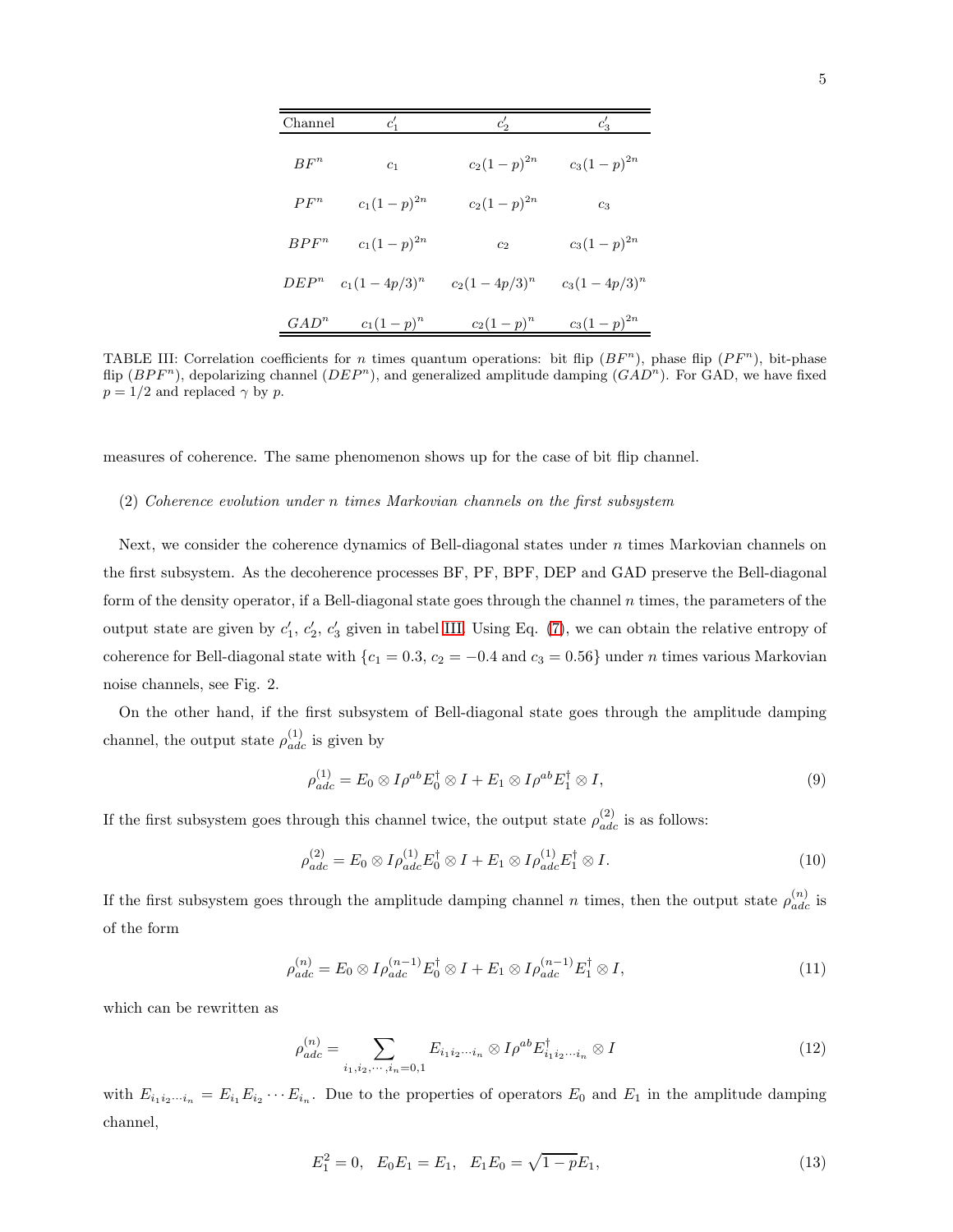| Channel | $c_1'$          | $c_2'$          | $c_3'$          |
|---------|-----------------|-----------------|-----------------|
| $BF^n$  | c <sub>1</sub>  | $c_2(1-p)^{2n}$ | $c_3(1-p)^{2n}$ |
| $PF^n$  | $c_1(1-p)^{2n}$ | $c_2(1-p)^{2n}$ | $c_3$           |
| $BPF^n$ | $c_1(1-p)^{2n}$ | c <sub>2</sub>  | $c_3(1-p)^{2n}$ |
| $DEF^n$ | $c_1(1-4p/3)^n$ | $c_2(1-4p/3)^n$ | $c_3(1-4p/3)^n$ |
| $GAD^n$ | $c_1(1-p)^n$    | $c_2(1-p)^n$    | $c_3(1-p)^{2n}$ |

<span id="page-4-0"></span>TABLE III: Correlation coefficients for *n* times quantum operations: bit flip  $(BF^n)$ , phase flip  $(PF^n)$ , bit-phase flip  $(BPF^n)$ , depolarizing channel  $(DEP^n)$ , and generalized amplitude damping  $(GAD^n)$ . For GAD, we have fixed  $p = 1/2$  and replaced  $\gamma$  by p.

measures of coherence. The same phenomenon shows up for the case of bit flip channel.

# (2) Coherence evolution under n times Markovian channels on the first subsystem

Next, we consider the coherence dynamics of Bell-diagonal states under  $n$  times Markovian channels on the first subsystem. As the decoherence processes BF, PF, BPF, DEP and GAD preserve the Bell-diagonal form of the density operator, if a Bell-diagonal state goes through the channel n times, the parameters of the output state are given by  $c'_1, c'_2, c'_3$  given in tabel [III.](#page-4-0) Using Eq. [\(7\)](#page-2-2), we can obtain the relative entropy of coherence for Bell-diagonal state with  $\{c_1 = 0.3, c_2 = -0.4 \text{ and } c_3 = 0.56\}$  under *n* times various Markovian noise channels, see Fig. 2.

On the other hand, if the first subsystem of Bell-diagonal state goes through the amplitude damping channel, the output state  $\rho_{adc}^{(1)}$  is given by

$$
\rho_{adc}^{(1)} = E_0 \otimes I \rho^{ab} E_0^{\dagger} \otimes I + E_1 \otimes I \rho^{ab} E_1^{\dagger} \otimes I, \tag{9}
$$

If the first subsystem goes through this channel twice, the output state  $\rho_{adc}^{(2)}$  is as follows:

$$
\rho_{adc}^{(2)} = E_0 \otimes I \rho_{adc}^{(1)} E_0^{\dagger} \otimes I + E_1 \otimes I \rho_{adc}^{(1)} E_1^{\dagger} \otimes I.
$$
\n(10)

If the first subsystem goes through the amplitude damping channel n times, then the output state  $\rho_{adc}^{(n)}$  is of the form

$$
\rho_{adc}^{(n)} = E_0 \otimes I \rho_{adc}^{(n-1)} E_0^{\dagger} \otimes I + E_1 \otimes I \rho_{adc}^{(n-1)} E_1^{\dagger} \otimes I, \qquad (11)
$$

which can be rewritten as

$$
\rho_{adc}^{(n)} = \sum_{i_1, i_2, \cdots, i_n = 0, 1} E_{i_1 i_2 \cdots i_n} \otimes I \rho^{ab} E_{i_1 i_2 \cdots i_n}^{\dagger} \otimes I \tag{12}
$$

with  $E_{i_1 i_2 \cdots i_n} = E_{i_1} E_{i_2} \cdots E_{i_n}$ . Due to the properties of operators  $E_0$  and  $E_1$  in the amplitude damping channel,

$$
E_1^2 = 0, \quad E_0 E_1 = E_1, \quad E_1 E_0 = \sqrt{1 - pE_1}, \tag{13}
$$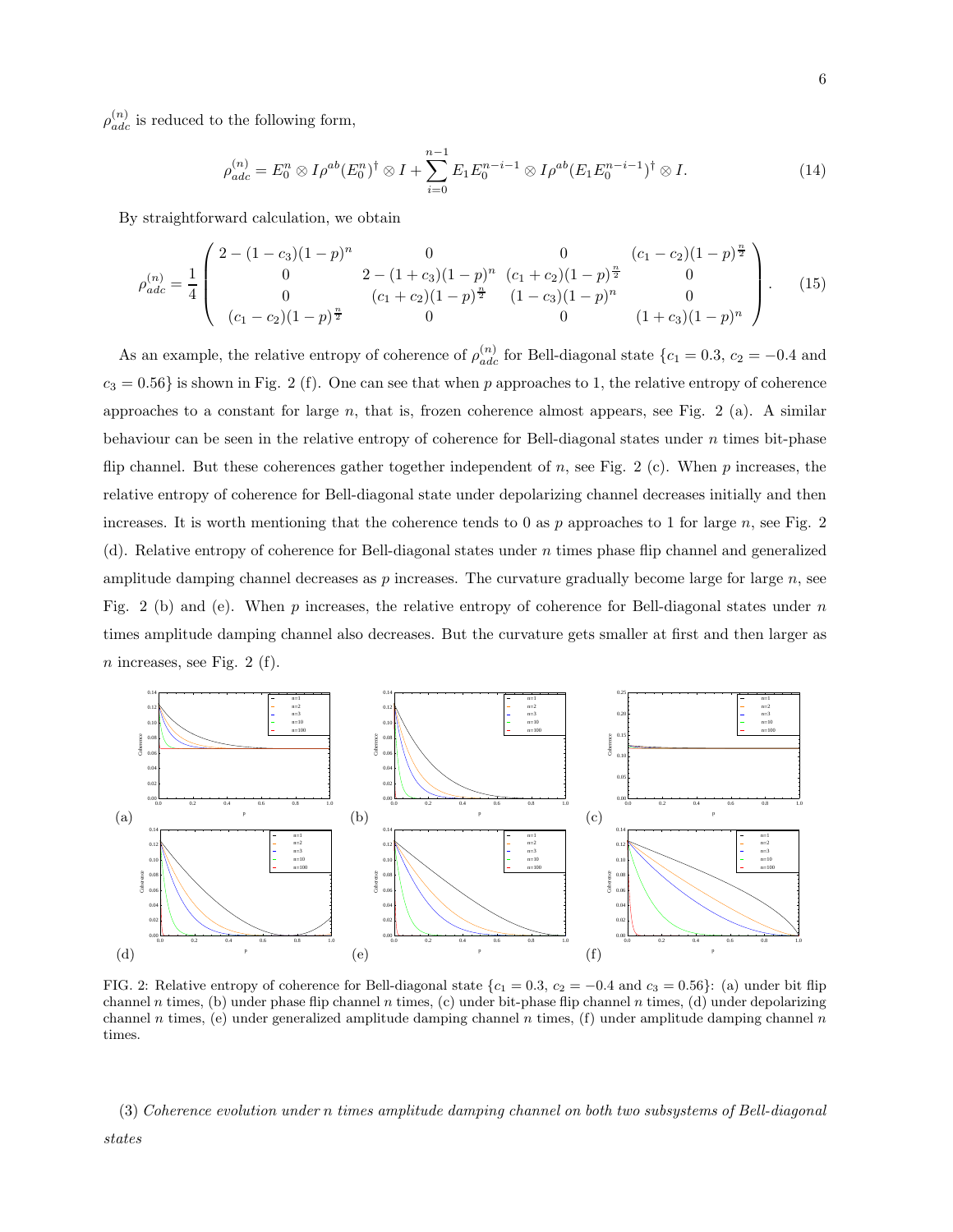$\rho_{adc}^{(n)}$  is reduced to the following form,

$$
\rho_{adc}^{(n)} = E_0^n \otimes I \rho^{ab} (E_0^n)^{\dagger} \otimes I + \sum_{i=0}^{n-1} E_1 E_0^{n-i-1} \otimes I \rho^{ab} (E_1 E_0^{n-i-1})^{\dagger} \otimes I.
$$
\n(14)

By straightforward calculation, we obtain

$$
\rho_{adc}^{(n)} = \frac{1}{4} \begin{pmatrix} 2 - (1 - c_3)(1 - p)^n & 0 & 0 & (c_1 - c_2)(1 - p)^{\frac{n}{2}} \\ 0 & 2 - (1 + c_3)(1 - p)^n & (c_1 + c_2)(1 - p)^{\frac{n}{2}} & 0 \\ 0 & (c_1 + c_2)(1 - p)^{\frac{n}{2}} & (1 - c_3)(1 - p)^n & 0 \\ (c_1 - c_2)(1 - p)^{\frac{n}{2}} & 0 & 0 & (1 + c_3)(1 - p)^n \end{pmatrix} . \tag{15}
$$

As an example, the relative entropy of coherence of  $\rho_{adc}^{(n)}$  for Bell-diagonal state  $\{c_1 = 0.3, c_2 = -0.4 \text{ and } c_1 = 0.3, c_2 = 0.4 \text{ and } c_2 = 0.4 \text{ and } c_2 = 0.4 \text{ and } c_1 = 0.4 \text{ and } c_2 = 0.4 \text{ and } c_2 = 0.4 \text{ and } c_2 = 0.4 \text{ and } c_2 = 0.4$  $c_3 = 0.56$  is shown in Fig. 2 (f). One can see that when p approaches to 1, the relative entropy of coherence approaches to a constant for large  $n$ , that is, frozen coherence almost appears, see Fig. 2 (a). A similar behaviour can be seen in the relative entropy of coherence for Bell-diagonal states under  $n$  times bit-phase flip channel. But these coherences gather together independent of n, see Fig. 2 (c). When p increases, the relative entropy of coherence for Bell-diagonal state under depolarizing channel decreases initially and then increases. It is worth mentioning that the coherence tends to 0 as  $p$  approaches to 1 for large  $n$ , see Fig. 2 (d). Relative entropy of coherence for Bell-diagonal states under  $n$  times phase flip channel and generalized amplitude damping channel decreases as  $p$  increases. The curvature gradually become large for large  $n$ , see Fig. 2 (b) and (e). When p increases, the relative entropy of coherence for Bell-diagonal states under n times amplitude damping channel also decreases. But the curvature gets smaller at first and then larger as  $n$  increases, see Fig. 2 (f).



FIG. 2: Relative entropy of coherence for Bell-diagonal state  $\{c_1 = 0.3, c_2 = -0.4 \text{ and } c_3 = 0.56\}$ : (a) under bit flip channel n times, (b) under phase flip channel n times, (c) under bit-phase flip channel n times, (d) under depolarizing channel n times, (e) under generalized amplitude damping channel n times, (f) under amplitude damping channel  $n$ times.

(3) Coherence evolution under n times amplitude damping channel on both two subsystems of Bell-diagonal states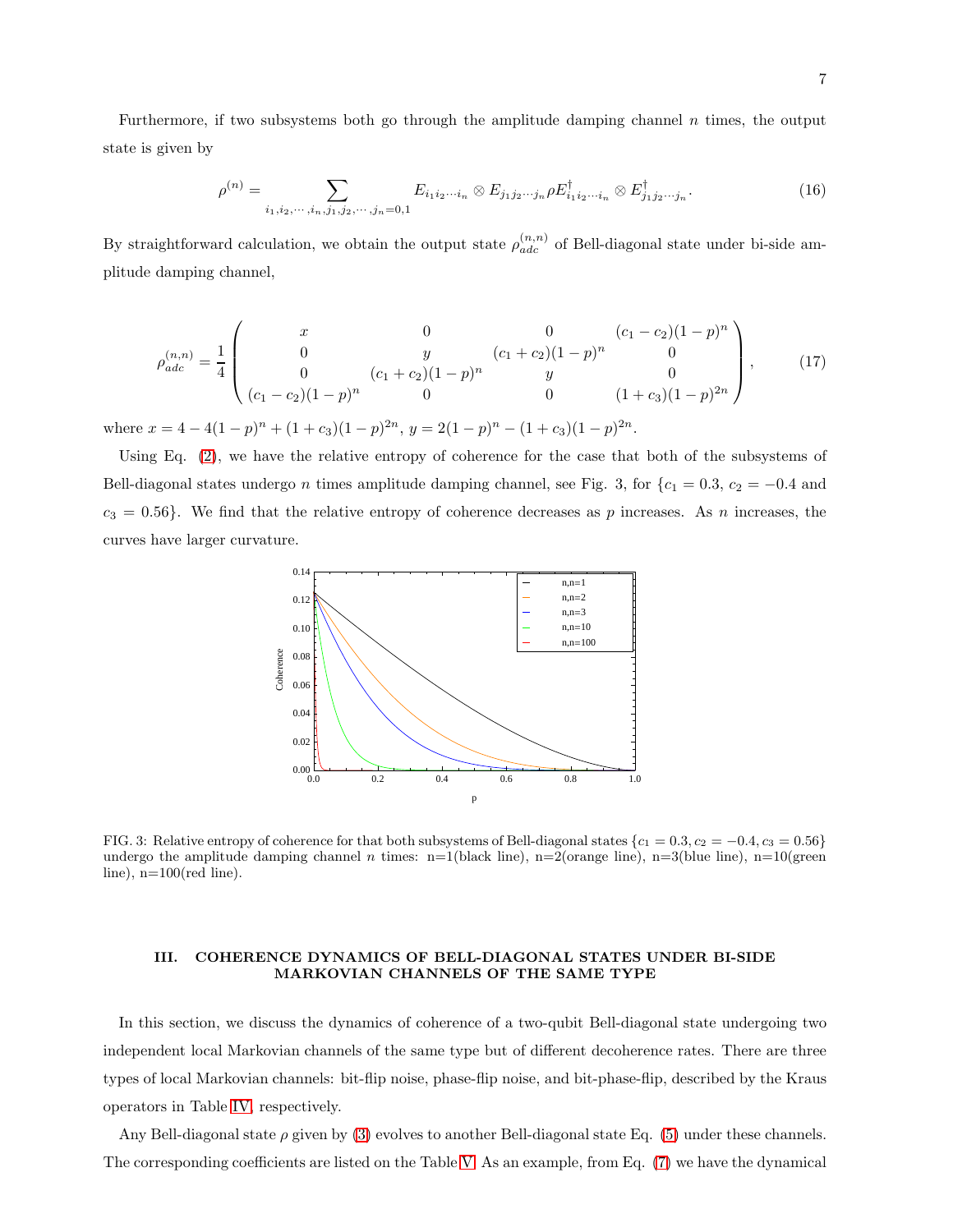Furthermore, if two subsystems both go through the amplitude damping channel n times, the output state is given by

$$
\rho^{(n)} = \sum_{i_1, i_2, \cdots, i_n, j_1, j_2, \cdots, j_n = 0, 1} E_{i_1 i_2 \cdots i_n} \otimes E_{j_1 j_2 \cdots j_n} \rho E_{i_1 i_2 \cdots i_n}^{\dagger} \otimes E_{j_1 j_2 \cdots j_n}^{\dagger}.
$$
\n(16)

By straightforward calculation, we obtain the output state  $\rho_{adc}^{(n,n)}$  of Bell-diagonal state under bi-side amplitude damping channel,

$$
\rho_{adc}^{(n,n)} = \frac{1}{4} \begin{pmatrix} x & 0 & 0 & (c_1 - c_2)(1 - p)^n \\ 0 & y & (c_1 + c_2)(1 - p)^n & 0 \\ 0 & (c_1 + c_2)(1 - p)^n & y & 0 \\ (c_1 - c_2)(1 - p)^n & 0 & 0 & (1 + c_3)(1 - p)^{2n} \end{pmatrix},
$$
(17)

where  $x = 4 - 4(1 - p)^n + (1 + c_3)(1 - p)^{2n}$ ,  $y = 2(1 - p)^n - (1 + c_3)(1 - p)^{2n}$ .

Using Eq. [\(2\)](#page-1-1), we have the relative entropy of coherence for the case that both of the subsystems of Bell-diagonal states undergo *n* times amplitude damping channel, see Fig. 3, for  $\{c_1 = 0.3, c_2 = -0.4 \text{ and } c_1 = 0.3, c_2 = 0.4 \text{ and } c_2 = 0.4 \text{ and } c_2 = 0.4 \text{ and } c_1 = 0.4 \text{ and } c_2 = 0.4 \text{ and } c_2 = 0.4 \text{ and } c_2 = 0.4 \text{ and } c_2 = 0.4 \text{ and } c$  $c_3 = 0.56$ . We find that the relative entropy of coherence decreases as p increases. As n increases, the curves have larger curvature.



FIG. 3: Relative entropy of coherence for that both subsystems of Bell-diagonal states  $\{c_1 = 0.3, c_2 = -0.4, c_3 = 0.56\}$ undergo the amplitude damping channel n times:  $n=1$ (black line),  $n=2$ (orange line),  $n=3$ (blue line),  $n=10$ (green line), n=100(red line).

# III. COHERENCE DYNAMICS OF BELL-DIAGONAL STATES UNDER BI-SIDE MARKOVIAN CHANNELS OF THE SAME TYPE

In this section, we discuss the dynamics of coherence of a two-qubit Bell-diagonal state undergoing two independent local Markovian channels of the same type but of different decoherence rates. There are three types of local Markovian channels: bit-flip noise, phase-flip noise, and bit-phase-flip, described by the Kraus operators in Table [IV,](#page-7-0) respectively.

Any Bell-diagonal state  $\rho$  given by [\(3\)](#page-1-2) evolves to another Bell-diagonal state Eq. [\(5\)](#page-1-3) under these channels. The corresponding coefficients are listed on the Table [V.](#page-7-1) As an example, from Eq. [\(7\)](#page-2-2) we have the dynamical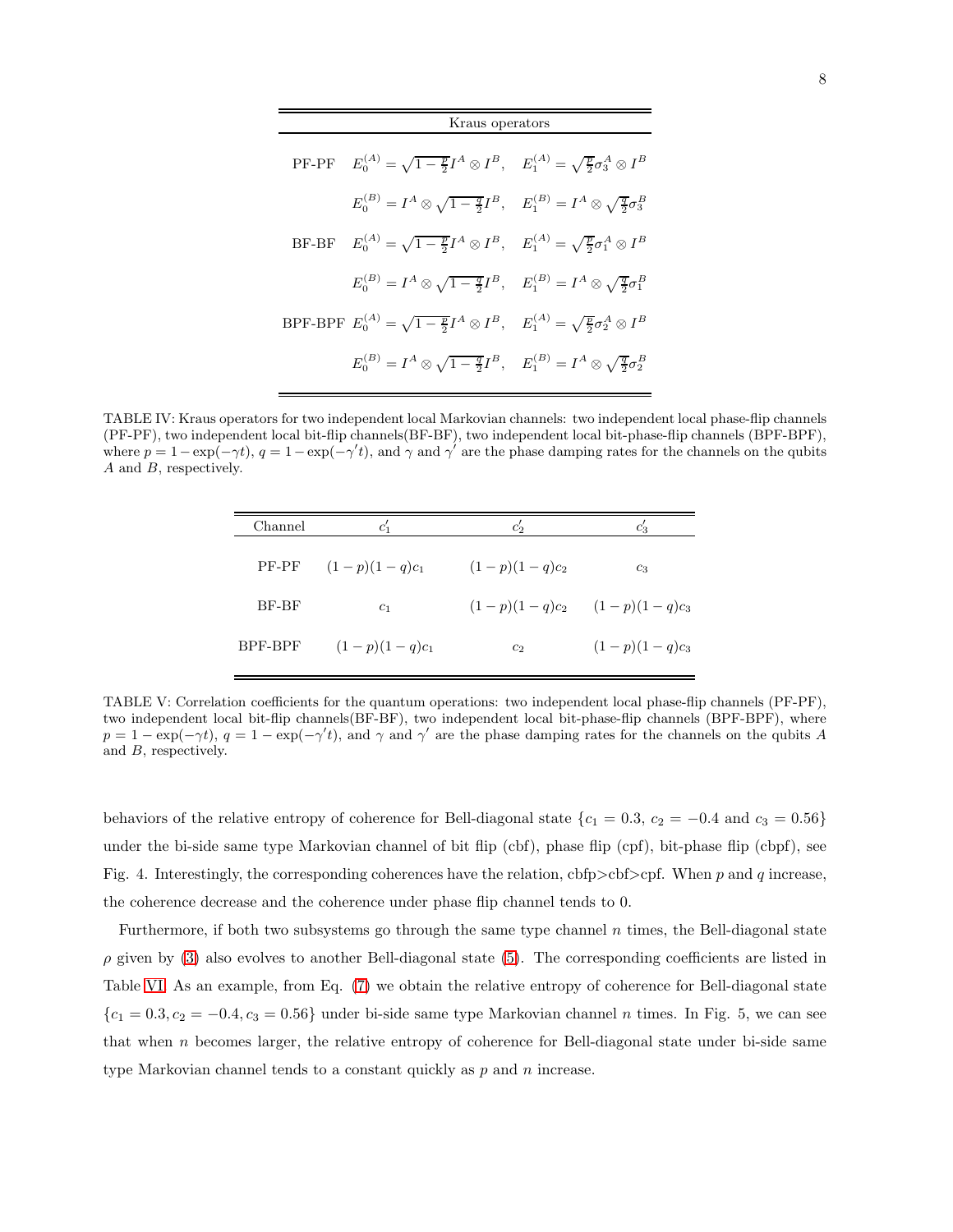Kraus operators PF-PF  $E_0^{(A)} = \sqrt{1 - \frac{p}{2}} I^A \otimes I^B$ ,  $E_1^{(A)} = \sqrt{\frac{p}{2}} \sigma_3^A \otimes I^B$  $E_0^{(B)} = I^A \otimes \sqrt{1 - \frac{q}{2}} I^B$ ,  $E_1^{(B)} = I^A \otimes \sqrt{\frac{q}{2}} \sigma_3^B$ BF-BF  $E_0^{(A)} = \sqrt{1 - \frac{p}{2}} I^A \otimes I^B$ ,  $E_1^{(A)} = \sqrt{\frac{p}{2}} \sigma_1^A \otimes I^B$  $E_0^{(B)} = I^A \otimes \sqrt{1 - \frac{q}{2}} I^B$ ,  $E_1^{(B)} = I^A \otimes \sqrt{\frac{q}{2}} \sigma_1^B$ BPF-BPF  $E_0^{(A)} = \sqrt{1 - \frac{p}{2}} I^A \otimes I^B$ ,  $E_1^{(A)} = \sqrt{\frac{p}{2}} \sigma_2^A \otimes I^B$  $E_0^{(B)} = I^A \otimes \sqrt{1 - \frac{q}{2}} I^B$ ,  $E_1^{(B)} = I^A \otimes \sqrt{\frac{q}{2}} \sigma_2^B$ 

<span id="page-7-0"></span>TABLE IV: Kraus operators for two independent local Markovian channels: two independent local phase-flip channels (PF-PF), two independent local bit-flip channels(BF-BF), two independent local bit-phase-flip channels (BPF-BPF), where  $p = 1 - \exp(-\gamma t)$ ,  $q = 1 - \exp(-\gamma' t)$ , and  $\gamma'$  and  $\gamma'$  are the phase damping rates for the channels on the qubits A and B, respectively.

| Channel |                       | Сō                              | Cэ              |
|---------|-----------------------|---------------------------------|-----------------|
|         | PF-PF $(1-p)(1-q)c_1$ | $(1-p)(1-q)c_2$                 | $c_3$           |
| BF-BF   | c <sub>1</sub>        | $(1-p)(1-q)c_2$ $(1-p)(1-q)c_3$ |                 |
| BPF-BPF | $(1-p)(1-q)c_1$       | c <sub>2</sub>                  | $(1-p)(1-q)c_3$ |

<span id="page-7-1"></span>TABLE V: Correlation coefficients for the quantum operations: two independent local phase-flip channels (PF-PF), two independent local bit-flip channels(BF-BF), two independent local bit-phase-flip channels (BPF-BPF), where  $p = 1 - \exp(-\gamma t)$ ,  $q = 1 - \exp(-\gamma' t)$ , and  $\gamma$  and  $\gamma'$  are the phase damping rates for the channels on the qubits A and B, respectively.

behaviors of the relative entropy of coherence for Bell-diagonal state  $\{c_1 = 0.3, c_2 = -0.4 \text{ and } c_3 = 0.56\}$ under the bi-side same type Markovian channel of bit flip (cbf), phase flip (cpf), bit-phase flip (cbpf), see Fig. 4. Interestingly, the corresponding coherences have the relation, cbfp>cbf>cpf. When p and q increase, the coherence decrease and the coherence under phase flip channel tends to 0.

Furthermore, if both two subsystems go through the same type channel  $n$  times, the Bell-diagonal state  $\rho$  given by [\(3\)](#page-1-2) also evolves to another Bell-diagonal state [\(5\)](#page-1-3). The corresponding coefficients are listed in Table [VI.](#page-8-0) As an example, from Eq. [\(7\)](#page-2-2) we obtain the relative entropy of coherence for Bell-diagonal state  ${c_1 = 0.3, c_2 = -0.4, c_3 = 0.56}$  under bi-side same type Markovian channel *n* times. In Fig. 5, we can see that when  $n$  becomes larger, the relative entropy of coherence for Bell-diagonal state under bi-side same type Markovian channel tends to a constant quickly as  $p$  and  $n$  increase.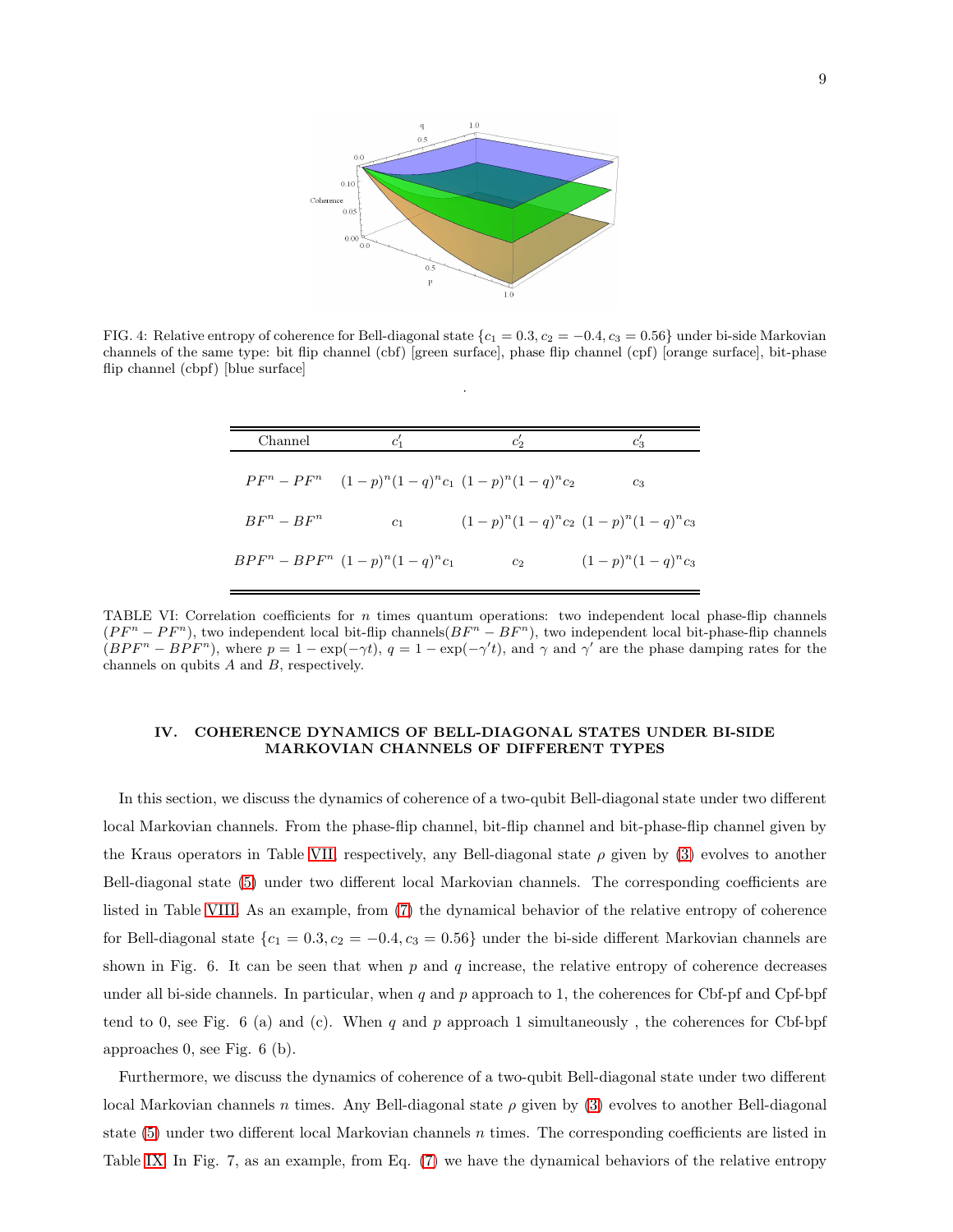

FIG. 4: Relative entropy of coherence for Bell-diagonal state  $\{c_1 = 0.3, c_2 = -0.4, c_3 = 0.56\}$  under bi-side Markovian channels of the same type: bit flip channel (cbf) [green surface], phase flip channel (cpf) [orange surface], bit-phase flip channel (cbpf) [blue surface]

.

| Channel       |                                                                   |                                      |                     |
|---------------|-------------------------------------------------------------------|--------------------------------------|---------------------|
|               | $PF^{n}-PF^{n}$ $(1-p)^{n}(1-q)^{n}c_{1} (1-p)^{n}(1-q)^{n}c_{2}$ |                                      | $c_3$               |
| $BF^n - BF^n$ | $c_1$                                                             | $(1-p)^n(1-q)^nc_2(1-p)^n(1-q)^nc_3$ |                     |
|               | $BPF^{n}-BPF^{n}(1-p)^{n}(1-q)^{n}c_{1}$                          | c <sub>2</sub>                       | $(1-p)^n(1-q)^nc_3$ |

<span id="page-8-0"></span>TABLE VI: Correlation coefficients for  $n$  times quantum operations: two independent local phase-flip channels  $(PF^n - PF^n)$ , two independent local bit-flip channels $(BF^n - BF^n)$ , two independent local bit-phase-flip channels  $(BPF^n - BPF^n)$ , where  $p = 1 - \exp(-\gamma t)$ ,  $q = 1 - \exp(-\gamma' t)$ , and  $\gamma$  and  $\gamma'$  are the phase damping rates for the channels on qubits A and B, respectively.

## IV. COHERENCE DYNAMICS OF BELL-DIAGONAL STATES UNDER BI-SIDE MARKOVIAN CHANNELS OF DIFFERENT TYPES

In this section, we discuss the dynamics of coherence of a two-qubit Bell-diagonal state under two different local Markovian channels. From the phase-flip channel, bit-flip channel and bit-phase-flip channel given by the Kraus operators in Table [VII,](#page-9-0) respectively, any Bell-diagonal state  $\rho$  given by [\(3\)](#page-1-2) evolves to another Bell-diagonal state [\(5\)](#page-1-3) under two different local Markovian channels. The corresponding coefficients are listed in Table [VIII.](#page-10-0) As an example, from [\(7\)](#page-2-2) the dynamical behavior of the relative entropy of coherence for Bell-diagonal state  $\{c_1 = 0.3, c_2 = -0.4, c_3 = 0.56\}$  under the bi-side different Markovian channels are shown in Fig. 6. It can be seen that when  $p$  and  $q$  increase, the relative entropy of coherence decreases under all bi-side channels. In particular, when  $q$  and  $p$  approach to 1, the coherences for Cbf-pf and Cpf-bpf tend to 0, see Fig. 6 (a) and (c). When q and p approach 1 simultaneously, the coherences for Cbf-bpf approaches 0, see Fig. 6 (b).

Furthermore, we discuss the dynamics of coherence of a two-qubit Bell-diagonal state under two different local Markovian channels n times. Any Bell-diagonal state  $\rho$  given by [\(3\)](#page-1-2) evolves to another Bell-diagonal state  $(5)$  under two different local Markovian channels n times. The corresponding coefficients are listed in Table [IX.](#page-10-1) In Fig. 7, as an example, from Eq. [\(7\)](#page-2-2) we have the dynamical behaviors of the relative entropy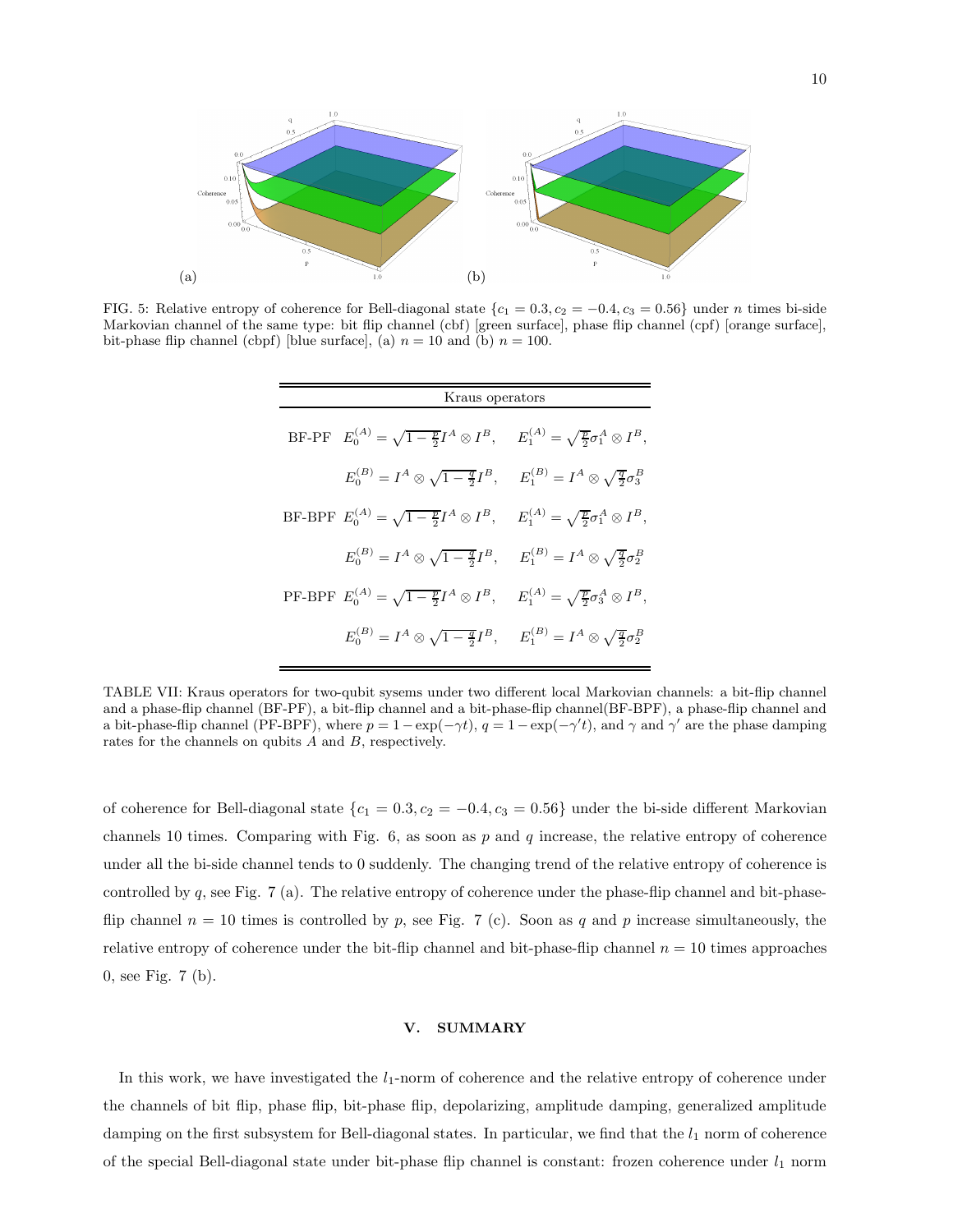

FIG. 5: Relative entropy of coherence for Bell-diagonal state  ${c_1 = 0.3, c_2 = -0.4, c_3 = 0.56}$  under *n* times bi-side Markovian channel of the same type: bit flip channel (cbf) [green surface], phase flip channel (cpf) [orange surface], bit-phase flip channel (cbpf) [blue surface], (a)  $n = 10$  and (b)  $n = 100$ .

| Kraus operators                                                                                                                          |  |  |  |
|------------------------------------------------------------------------------------------------------------------------------------------|--|--|--|
| BF-PF $E_0^{(A)} = \sqrt{1 - \frac{p}{2}} I^A \otimes I^B$ , $E_1^{(A)} = \sqrt{\frac{p}{2}} \sigma_1^A \otimes I^B$ ,                   |  |  |  |
| $E_0^{(B)}=I^A\otimes \sqrt{1-\tfrac{q}{2}}I^B,\quad \  E_1^{(B)}=I^A\otimes \sqrt{\tfrac{q}{2}}\sigma_3^B$                              |  |  |  |
| $\text{BF-BPF}\  \, E_0^{(A)} = \sqrt{1-\tfrac{p}{2}} I^A \otimes I^B, \quad \  E_1^{(A)} = \sqrt{\tfrac{p}{2}} \sigma_1^A \otimes I^B,$ |  |  |  |
| $E_0^{(B)}=I^A\otimes \sqrt{1-\tfrac{q}{2}}I^B,\quad \  E_1^{(B)}=I^A\otimes \sqrt{\tfrac{q}{2}}\sigma_2^B$                              |  |  |  |
| $\text{PF-BPF}\  \, E_0^{(A)} = \sqrt{1-\tfrac{p}{2}} I^A \otimes I^B, \quad \  E_1^{(A)} = \sqrt{\tfrac{p}{2}} \sigma_3^A \otimes I^B,$ |  |  |  |
| $E_0^{(B)}=I^A\otimes \sqrt{1-\tfrac{q}{2}}I^B,\quad \  E_1^{(B)}=I^A\otimes \sqrt{\tfrac{q}{2}}\sigma_2^B$                              |  |  |  |

<span id="page-9-0"></span>TABLE VII: Kraus operators for two-qubit sysems under two different local Markovian channels: a bit-flip channel and a phase-flip channel (BF-PF), a bit-flip channel and a bit-phase-flip channel(BF-BPF), a phase-flip channel and a bit-phase-flip channel (PF-BPF), where  $p = 1 - \exp(-\gamma t)$ ,  $q = 1 - \exp(-\gamma' t)$ , and  $\gamma$  and  $\gamma'$  are the phase damping rates for the channels on qubits A and B, respectively.

of coherence for Bell-diagonal state  $\{c_1 = 0.3, c_2 = -0.4, c_3 = 0.56\}$  under the bi-side different Markovian channels 10 times. Comparing with Fig.  $6$ , as soon as  $p$  and  $q$  increase, the relative entropy of coherence under all the bi-side channel tends to 0 suddenly. The changing trend of the relative entropy of coherence is controlled by q, see Fig. 7 (a). The relative entropy of coherence under the phase-flip channel and bit-phaseflip channel  $n = 10$  times is controlled by p, see Fig. 7 (c). Soon as q and p increase simultaneously, the relative entropy of coherence under the bit-flip channel and bit-phase-flip channel  $n = 10$  times approaches 0, see Fig. 7 (b).

## V. SUMMARY

In this work, we have investigated the  $l_1$ -norm of coherence and the relative entropy of coherence under the channels of bit flip, phase flip, bit-phase flip, depolarizing, amplitude damping, generalized amplitude damping on the first subsystem for Bell-diagonal states. In particular, we find that the  $l_1$  norm of coherence of the special Bell-diagonal state under bit-phase flip channel is constant: frozen coherence under  $l_1$  norm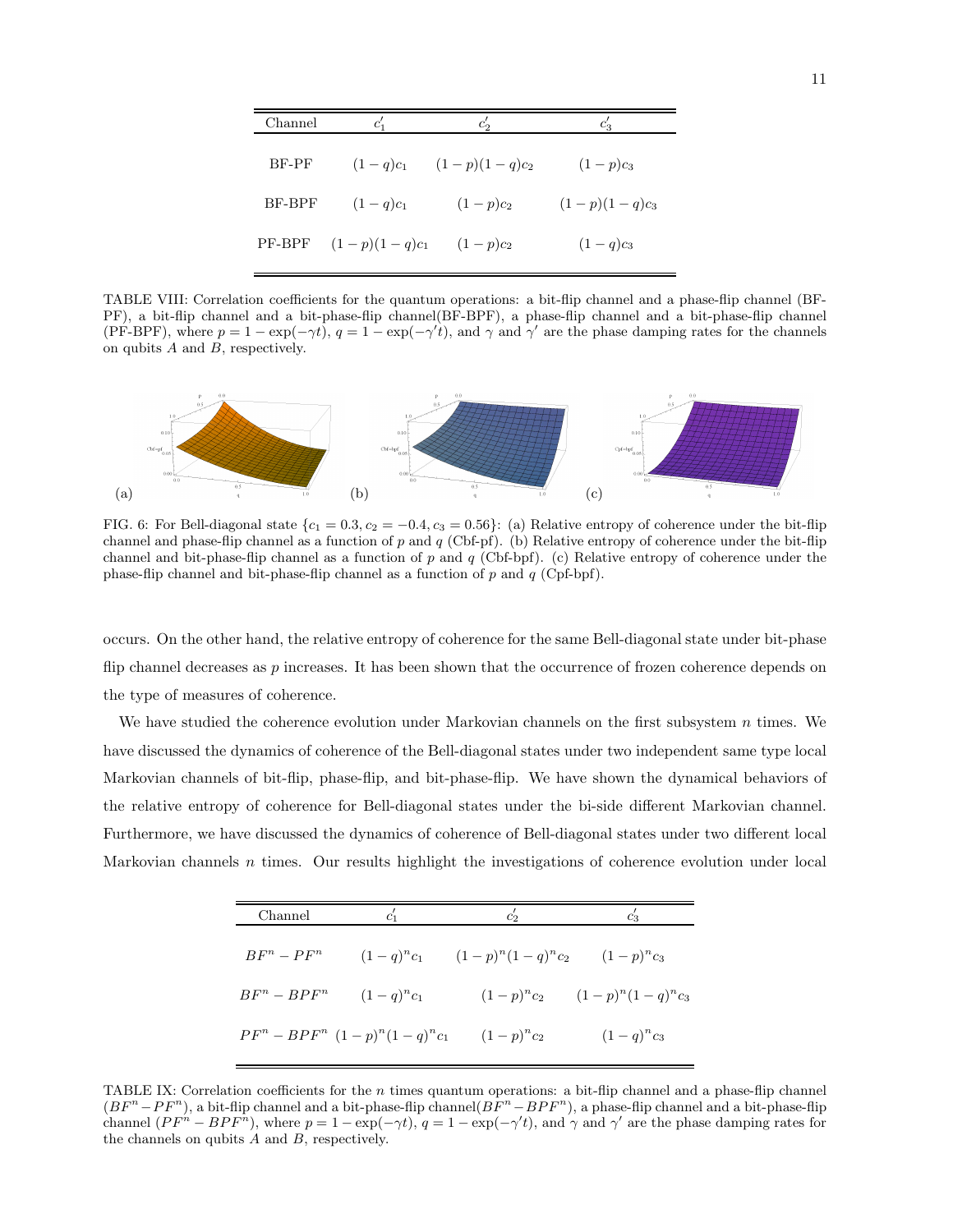| Channel |                                   |                            | $c_3$           |
|---------|-----------------------------------|----------------------------|-----------------|
| BF-PF   |                                   | $(1-q)c_1$ $(1-p)(1-q)c_2$ | $(1-p)c_3$      |
| BF-BPF  | $(1-q)c_1$                        | $(1-p)c_2$                 | $(1-p)(1-q)c_3$ |
|         | PF-BPF $(1-p)(1-q)c_1$ $(1-p)c_2$ |                            | $(1-q)c_3$      |

<span id="page-10-0"></span>TABLE VIII: Correlation coefficients for the quantum operations: a bit-flip channel and a phase-flip channel (BF-PF), a bit-flip channel and a bit-phase-flip channel(BF-BPF), a phase-flip channel and a bit-phase-flip channel (PF-BPF), where  $p = 1 - \exp(-\gamma t)$ ,  $q = 1 - \exp(-\gamma' t)$ , and  $\gamma'$  are the phase damping rates for the channels on qubits  $A$  and  $B$ , respectively.



FIG. 6: For Bell-diagonal state  $\{c_1 = 0.3, c_2 = -0.4, c_3 = 0.56\}$ : (a) Relative entropy of coherence under the bit-flip channel and phase-flip channel as a function of p and  $q$  (Cbf-pf). (b) Relative entropy of coherence under the bit-flip channel and bit-phase-flip channel as a function of  $p$  and  $q$  (Cbf-bpf). (c) Relative entropy of coherence under the phase-flip channel and bit-phase-flip channel as a function of  $p$  and  $q$  (Cpf-bpf).

occurs. On the other hand, the relative entropy of coherence for the same Bell-diagonal state under bit-phase flip channel decreases as  $p$  increases. It has been shown that the occurrence of frozen coherence depends on the type of measures of coherence.

We have studied the coherence evolution under Markovian channels on the first subsystem  $n$  times. We have discussed the dynamics of coherence of the Bell-diagonal states under two independent same type local Markovian channels of bit-flip, phase-flip, and bit-phase-flip. We have shown the dynamical behaviors of the relative entropy of coherence for Bell-diagonal states under the bi-side different Markovian channel. Furthermore, we have discussed the dynamics of coherence of Bell-diagonal states under two different local Markovian channels n times. Our results highlight the investigations of coherence evolution under local

| Channel       |                                                           |                                                   |                                     |
|---------------|-----------------------------------------------------------|---------------------------------------------------|-------------------------------------|
| $BF^n - PF^n$ |                                                           | $(1-q)^n c_1$ $(1-p)^n (1-q)^n c_2$ $(1-p)^n c_3$ |                                     |
|               | $BF^n - BPF^n$ $(1-q)^n c_1$                              |                                                   | $(1-p)^n c_2$ $(1-p)^n (1-q)^n c_3$ |
|               | $PF^{n} - BPF^{n} (1-p)^{n}(1-q)^{n}c_{1} (1-p)^{n}c_{2}$ |                                                   | $(1-q)^{n}c_3$                      |

<span id="page-10-1"></span>TABLE IX: Correlation coefficients for the  $n$  times quantum operations: a bit-flip channel and a phase-flip channel  $(BF^{n}-PF^{n})$ , a bit-flip channel and a bit-phase-flip channel( $BF^{n}-BPF^{n}$ ), a phase-flip channel and a bit-phase-flip channel  $(PF'' - BPF^n)$ , where  $p = 1 - \exp(-\gamma t)$ ,  $q = 1 - \exp(-\gamma t)$ , and  $\gamma$  and  $\gamma'$  are the phase damping rates for the channels on qubits  $A$  and  $B$ , respectively.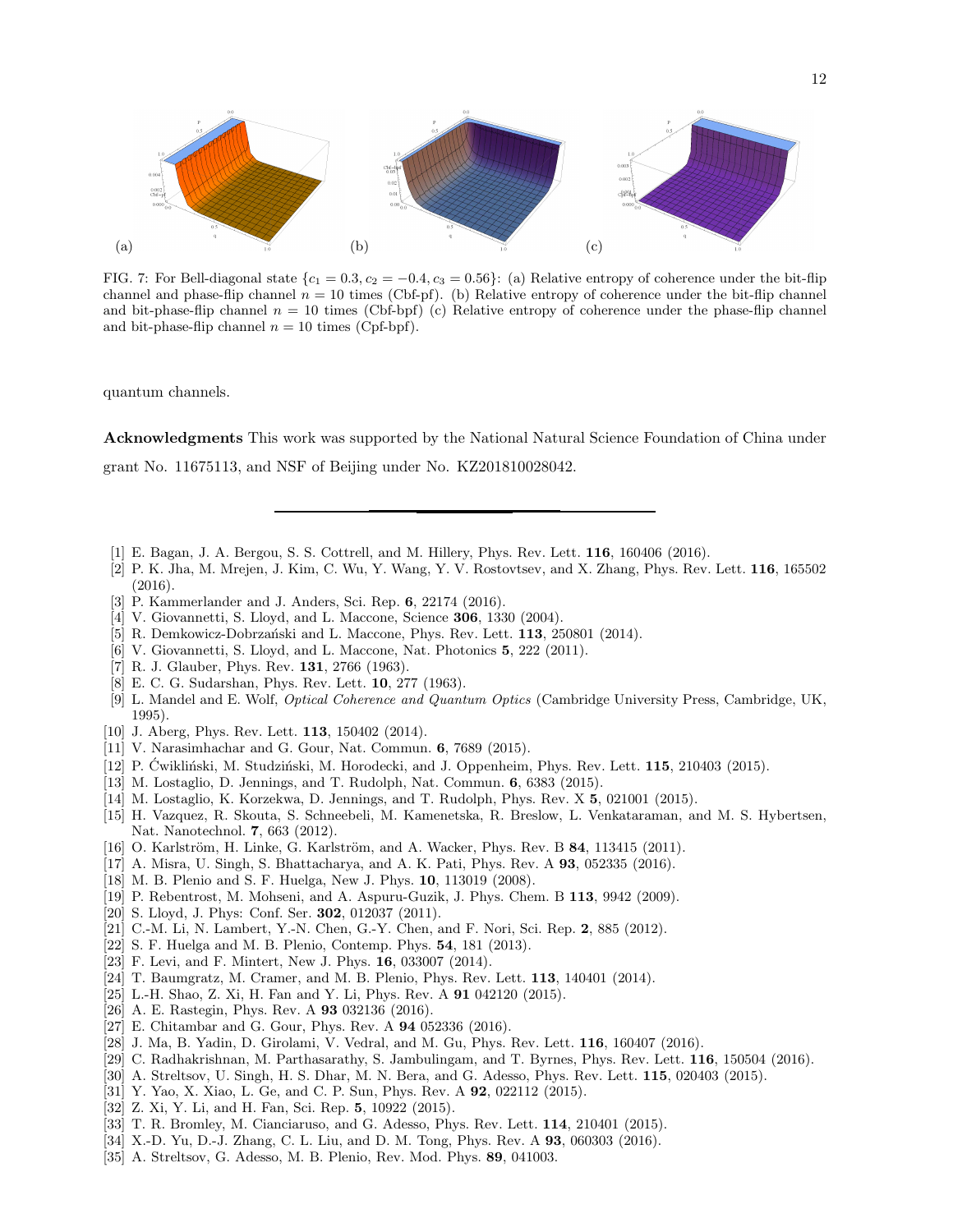

FIG. 7: For Bell-diagonal state  $\{c_1 = 0.3, c_2 = -0.4, c_3 = 0.56\}$ : (a) Relative entropy of coherence under the bit-flip channel and phase-flip channel  $n = 10$  times (Cbf-pf). (b) Relative entropy of coherence under the bit-flip channel and bit-phase-flip channel  $n = 10$  times (Cbf-bpf) (c) Relative entropy of coherence under the phase-flip channel and bit-phase-flip channel  $n = 10$  times (Cpf-bpf).

quantum channels.

Acknowledgments This work was supported by the National Natural Science Foundation of China under grant No. 11675113, and NSF of Beijing under No. KZ201810028042.

- <span id="page-11-0"></span>[1] E. Bagan, J. A. Bergou, S. S. Cottrell, and M. Hillery, Phys. Rev. Lett. 116, 160406 (2016).
- [2] P. K. Jha, M. Mrejen, J. Kim, C. Wu, Y. Wang, Y. V. Rostovtsev, and X. Zhang, Phys. Rev. Lett. 116, 165502 (2016).
- <span id="page-11-1"></span>[3] P. Kammerlander and J. Anders, Sci. Rep. 6, 22174 (2016).
- <span id="page-11-2"></span>[4] V. Giovannetti, S. Lloyd, and L. Maccone, Science 306, 1330 (2004).
- [5] R. Demkowicz-Dobrzański and L. Maccone, Phys. Rev. Lett. 113, 250801 (2014).
- <span id="page-11-3"></span>[6] V. Giovannetti, S. Lloyd, and L. Maccone, Nat. Photonics 5, 222 (2011).
- <span id="page-11-4"></span>[7] R. J. Glauber, Phys. Rev. 131, 2766 (1963).
- [8] E. C. G. Sudarshan, Phys. Rev. Lett. 10, 277 (1963).
- <span id="page-11-5"></span>[9] L. Mandel and E. Wolf, Optical Coherence and Quantum Optics (Cambridge University Press, Cambridge, UK, 1995).
- <span id="page-11-6"></span>[10] J. Aberg, Phys. Rev. Lett. **113**, 150402 (2014).
- [11] V. Narasimhachar and G. Gour, Nat. Commun. 6, 7689 (2015).
- [12] P. Cwikliński, M. Studziński, M. Horodecki, and J. Oppenheim, Phys. Rev. Lett. 115, 210403 (2015).
- [13] M. Lostaglio, D. Jennings, and T. Rudolph, Nat. Commun. 6, 6383 (2015).
- [14] M. Lostaglio, K. Korzekwa, D. Jennings, and T. Rudolph, Phys. Rev. X 5, 021001 (2015).
- [15] H. Vazquez, R. Skouta, S. Schneebeli, M. Kamenetska, R. Breslow, L. Venkataraman, and M. S. Hybertsen, Nat. Nanotechnol. 7, 663 (2012).
- [16] O. Karlström, H. Linke, G. Karlström, and A. Wacker, Phys. Rev. B 84, 113415 (2011).
- <span id="page-11-7"></span>[17] A. Misra, U. Singh, S. Bhattacharya, and A. K. Pati, Phys. Rev. A 93, 052335 (2016).
- <span id="page-11-8"></span>[18] M. B. Plenio and S. F. Huelga, New J. Phys. 10, 113019 (2008).
- [19] P. Rebentrost, M. Mohseni, and A. Aspuru-Guzik, J. Phys. Chem. B 113, 9942 (2009).
- [20] S. Lloyd, J. Phys: Conf. Ser. **302**, 012037 (2011).
- [21] C.-M. Li, N. Lambert, Y.-N. Chen, G.-Y. Chen, and F. Nori, Sci. Rep. 2, 885 (2012).
- [22] S. F. Huelga and M. B. Plenio, Contemp. Phys. 54, 181 (2013).
- <span id="page-11-9"></span>[23] F. Levi, and F. Mintert, New J. Phys. **16**, 033007 (2014).
- <span id="page-11-10"></span>[24] T. Baumgratz, M. Cramer, and M. B. Plenio, Phys. Rev. Lett. **113**, 140401 (2014).
- <span id="page-11-11"></span>[25] L.-H. Shao, Z. Xi, H. Fan and Y. Li, Phys. Rev. A 91 042120 (2015).
- <span id="page-11-12"></span>[26] A. E. Rastegin, Phys. Rev. A **93** 032136 (2016).
- <span id="page-11-13"></span>[27] E. Chitambar and G. Gour, Phys. Rev. A 94 052336 (2016).
- <span id="page-11-14"></span>[28] J. Ma, B. Yadin, D. Girolami, V. Vedral, and M. Gu, Phys. Rev. Lett. **116**, 160407 (2016).
- [29] C. Radhakrishnan, M. Parthasarathy, S. Jambulingam, and T. Byrnes, Phys. Rev. Lett. 116, 150504 (2016).
- <span id="page-11-18"></span>[30] A. Streltsov, U. Singh, H. S. Dhar, M. N. Bera, and G. Adesso, Phys. Rev. Lett. 115, 020403 (2015).
- [31] Y. Yao, X. Xiao, L. Ge, and C. P. Sun, Phys. Rev. A 92, 022112 (2015).
- <span id="page-11-15"></span>[32] Z. Xi, Y. Li, and H. Fan, Sci. Rep. 5, 10922 (2015).
- <span id="page-11-16"></span>[33] T. R. Bromley, M. Cianciaruso, and G. Adesso, Phys. Rev. Lett. 114, 210401 (2015).
- <span id="page-11-17"></span>[34] X.-D. Yu, D.-J. Zhang, C. L. Liu, and D. M. Tong, Phys. Rev. A **93**, 060303 (2016).
- [35] A. Streltsov, G. Adesso, M. B. Plenio, Rev. Mod. Phys. 89, 041003.